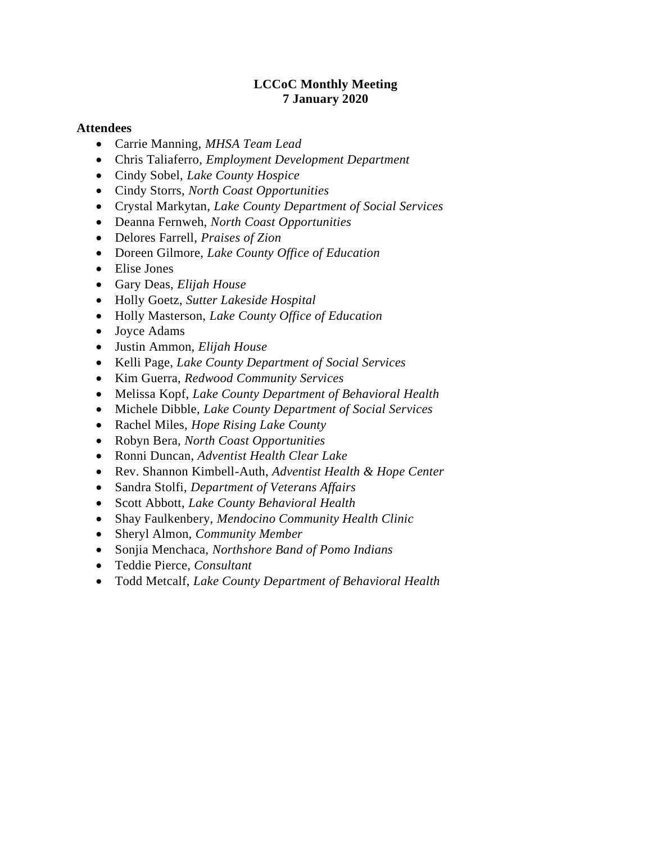#### **LCCoC Monthly Meeting 7 January 2020**

#### **Attendees**

- Carrie Manning, *MHSA Team Lead*
- Chris Taliaferro, *Employment Development Department*
- Cindy Sobel, *Lake County Hospice*
- Cindy Storrs, *North Coast Opportunities*
- Crystal Markytan, *Lake County Department of Social Services*
- Deanna Fernweh, *North Coast Opportunities*
- Delores Farrell, *Praises of Zion*
- Doreen Gilmore, *Lake County Office of Education*
- Elise Jones
- Gary Deas, *Elijah House*
- Holly Goetz, *Sutter Lakeside Hospital*
- Holly Masterson, *Lake County Office of Education*
- Joyce Adams
- Justin Ammon, *Elijah House*
- Kelli Page, *Lake County Department of Social Services*
- Kim Guerra, *Redwood Community Services*
- Melissa Kopf, *Lake County Department of Behavioral Health*
- Michele Dibble, *Lake County Department of Social Services*
- Rachel Miles, *Hope Rising Lake County*
- Robyn Bera, *North Coast Opportunities*
- Ronni Duncan, *Adventist Health Clear Lake*
- Rev. Shannon Kimbell-Auth, *Adventist Health & Hope Center*
- Sandra Stolfi, *Department of Veterans Affairs*
- Scott Abbott, *Lake County Behavioral Health*
- Shay Faulkenbery, *Mendocino Community Health Clinic*
- Sheryl Almon, *Community Member*
- Sonjia Menchaca, *Northshore Band of Pomo Indians*
- Teddie Pierce, *Consultant*
- Todd Metcalf, *Lake County Department of Behavioral Health*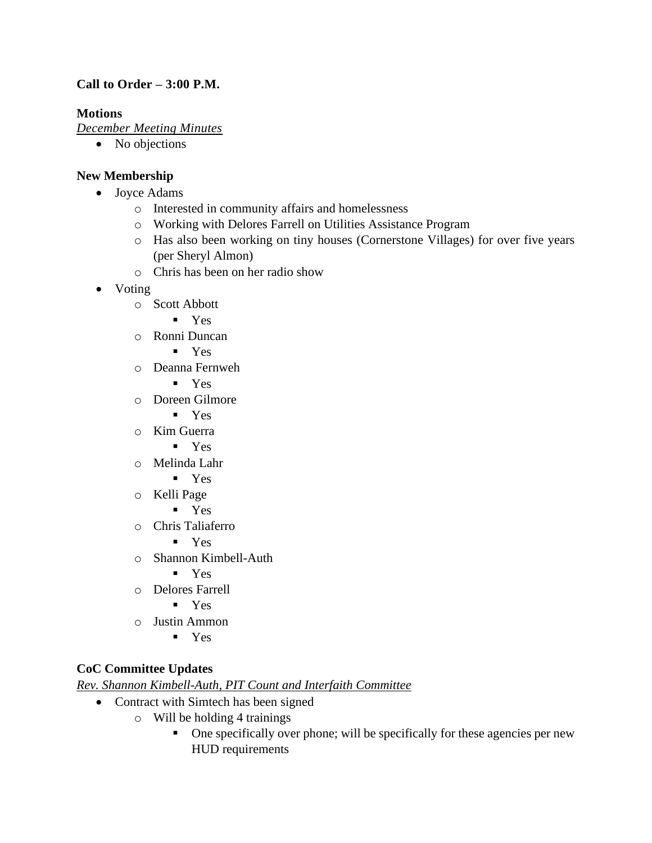# **Call to Order – 3:00 P.M.**

## **Motions**

*December Meeting Minutes*

• No objections

# **New Membership**

- Joyce Adams
	- o Interested in community affairs and homelessness
	- o Working with Delores Farrell on Utilities Assistance Program
	- o Has also been working on tiny houses (Cornerstone Villages) for over five years (per Sheryl Almon)
	- o Chris has been on her radio show
- Voting
	- o Scott Abbott
		- Yes
	- o Ronni Duncan
		- Yes
	- o Deanna Fernweh
		- Yes
	- o Doreen Gilmore
		- Yes
	- o Kim Guerra
		- Yes
	- o Melinda Lahr
		- Yes
	- o Kelli Page
		- Yes
	- o Chris Taliaferro
		- Yes
	- o Shannon Kimbell-Auth
		- Yes
	- o Delores Farrell
		- Yes
	- o Justin Ammon
		- Yes

# **CoC Committee Updates**

*Rev. Shannon Kimbell-Auth, PIT Count and Interfaith Committee*

- Contract with Simtech has been signed
	- o Will be holding 4 trainings
		- One specifically over phone; will be specifically for these agencies per new HUD requirements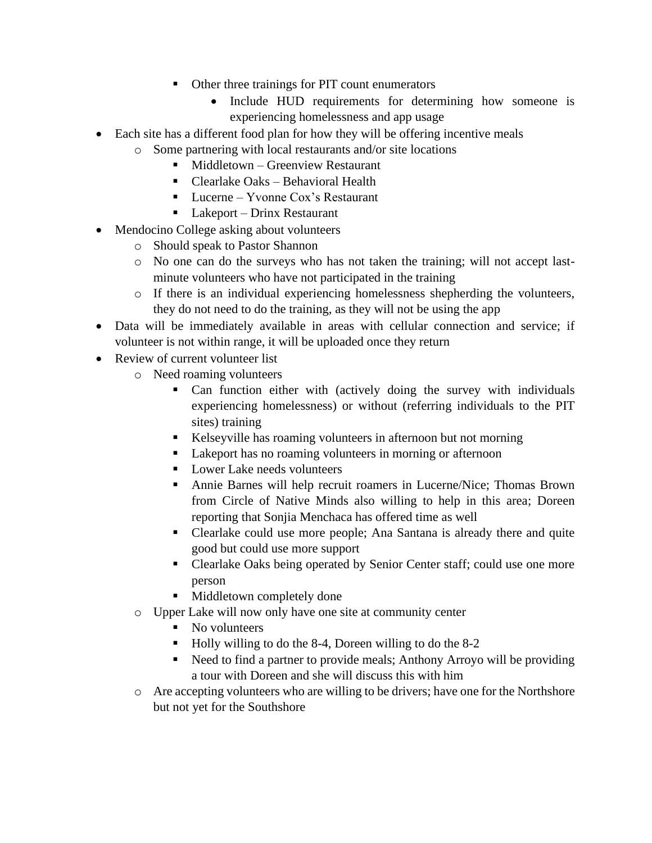- Other three trainings for PIT count enumerators
	- Include HUD requirements for determining how someone is experiencing homelessness and app usage
- Each site has a different food plan for how they will be offering incentive meals
	- o Some partnering with local restaurants and/or site locations
		- Middletown Greenview Restaurant
		- Clearlake Oaks Behavioral Health
		- Lucerne Yvonne Cox's Restaurant
		- $\blacksquare$  Lakeport Drinx Restaurant
- Mendocino College asking about volunteers
	- o Should speak to Pastor Shannon
	- o No one can do the surveys who has not taken the training; will not accept lastminute volunteers who have not participated in the training
	- o If there is an individual experiencing homelessness shepherding the volunteers, they do not need to do the training, as they will not be using the app
- Data will be immediately available in areas with cellular connection and service; if volunteer is not within range, it will be uploaded once they return
- Review of current volunteer list
	- o Need roaming volunteers
		- Can function either with (actively doing the survey with individuals experiencing homelessness) or without (referring individuals to the PIT sites) training
		- Kelseyville has roaming volunteers in afternoon but not morning
		- Lakeport has no roaming volunteers in morning or afternoon
		- Lower Lake needs volunteers
		- Annie Barnes will help recruit roamers in Lucerne/Nice; Thomas Brown from Circle of Native Minds also willing to help in this area; Doreen reporting that Sonjia Menchaca has offered time as well
		- Clearlake could use more people; Ana Santana is already there and quite good but could use more support
		- Clearlake Oaks being operated by Senior Center staff; could use one more person
		- **■** Middletown completely done
	- o Upper Lake will now only have one site at community center
		- No volunteers
		- Holly willing to do the 8-4, Doreen willing to do the 8-2
		- Need to find a partner to provide meals; Anthony Arroyo will be providing a tour with Doreen and she will discuss this with him
	- o Are accepting volunteers who are willing to be drivers; have one for the Northshore but not yet for the Southshore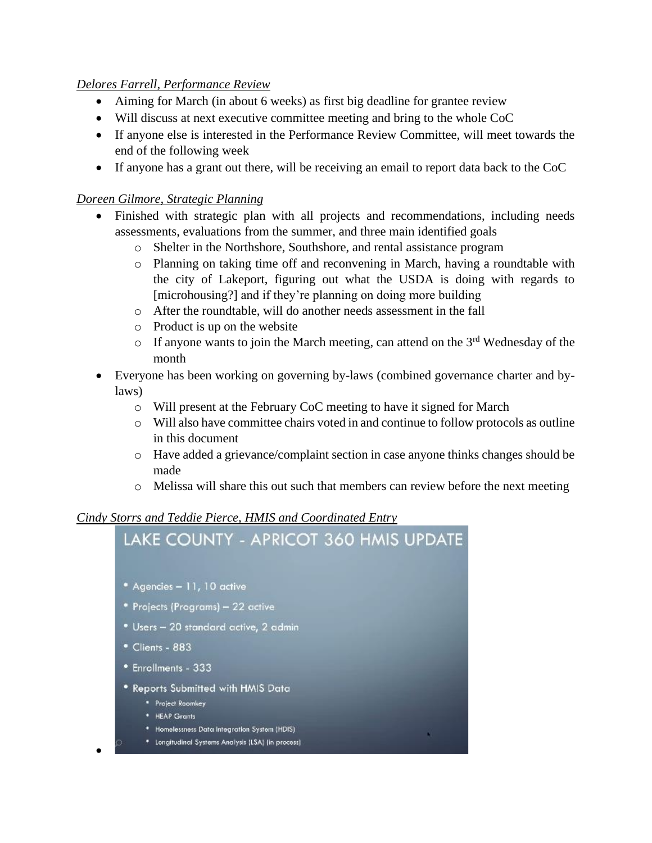## *Delores Farrell, Performance Review*

- Aiming for March (in about 6 weeks) as first big deadline for grantee review
- Will discuss at next executive committee meeting and bring to the whole CoC
- If anyone else is interested in the Performance Review Committee, will meet towards the end of the following week
- If anyone has a grant out there, will be receiving an email to report data back to the CoC

## *Doreen Gilmore, Strategic Planning*

•

- Finished with strategic plan with all projects and recommendations, including needs assessments, evaluations from the summer, and three main identified goals
	- o Shelter in the Northshore, Southshore, and rental assistance program
	- o Planning on taking time off and reconvening in March, having a roundtable with the city of Lakeport, figuring out what the USDA is doing with regards to [microhousing?] and if they're planning on doing more building
	- o After the roundtable, will do another needs assessment in the fall
	- o Product is up on the website
	- $\circ$  If anyone wants to join the March meeting, can attend on the 3<sup>rd</sup> Wednesday of the month
- Everyone has been working on governing by-laws (combined governance charter and bylaws)
	- o Will present at the February CoC meeting to have it signed for March
	- o Will also have committee chairs voted in and continue to follow protocols as outline in this document
	- o Have added a grievance/complaint section in case anyone thinks changes should be made
	- o Melissa will share this out such that members can review before the next meeting

#### *Cindy Storrs and Teddie Pierce, HMIS and Coordinated Entry*

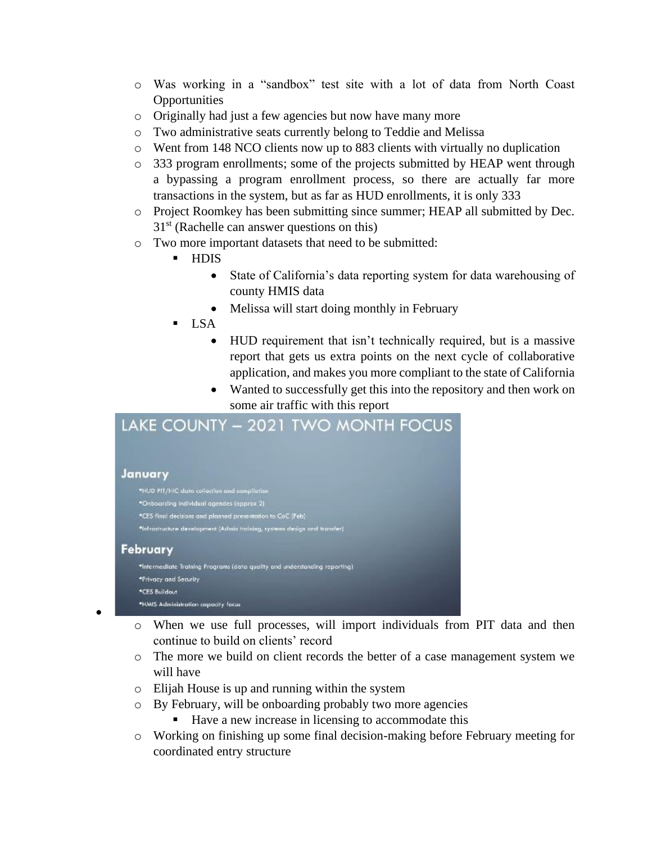- o Was working in a "sandbox" test site with a lot of data from North Coast **Opportunities**
- o Originally had just a few agencies but now have many more
- o Two administrative seats currently belong to Teddie and Melissa
- o Went from 148 NCO clients now up to 883 clients with virtually no duplication
- o 333 program enrollments; some of the projects submitted by HEAP went through a bypassing a program enrollment process, so there are actually far more transactions in the system, but as far as HUD enrollments, it is only 333
- o Project Roomkey has been submitting since summer; HEAP all submitted by Dec.  $31<sup>st</sup>$  (Rachelle can answer questions on this)
- o Two more important datasets that need to be submitted:
	- **HDIS** 
		- State of California's data reporting system for data warehousing of county HMIS data
		- Melissa will start doing monthly in February
	- **LSA** 
		- HUD requirement that isn't technically required, but is a massive report that gets us extra points on the next cycle of collaborative application, and makes you more compliant to the state of California
		- Wanted to successfully get this into the repository and then work on some air traffic with this report

# LAKE COUNTY - 2021 TWO MONTH FOCUS

#### January

•

- \*HUD PIT/HC data collection and compilation \*Onboarding individual agendes (approx 2) \*CES final decisions and planned presentation to CoC (Feb) \*Infrastructure development (Admin training, systems design and transfer) February \*Intermediate Training Programs (data quality and understanding reporting) \*Privacy and Security \*CES Buildout \*HMIS Administration capacity focus
	- o When we use full processes, will import individuals from PIT data and then continue to build on clients' record
	- o The more we build on client records the better of a case management system we will have
	- o Elijah House is up and running within the system
	- o By February, will be onboarding probably two more agencies
		- Have a new increase in licensing to accommodate this
	- o Working on finishing up some final decision-making before February meeting for coordinated entry structure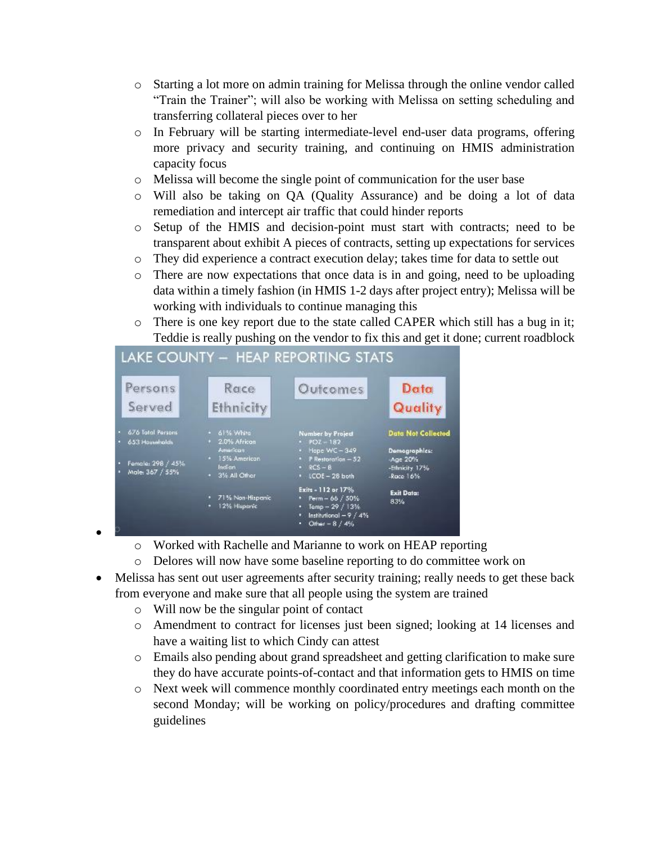- o Starting a lot more on admin training for Melissa through the online vendor called "Train the Trainer"; will also be working with Melissa on setting scheduling and transferring collateral pieces over to her
- o In February will be starting intermediate-level end-user data programs, offering more privacy and security training, and continuing on HMIS administration capacity focus
- o Melissa will become the single point of communication for the user base
- o Will also be taking on QA (Quality Assurance) and be doing a lot of data remediation and intercept air traffic that could hinder reports
- o Setup of the HMIS and decision-point must start with contracts; need to be transparent about exhibit A pieces of contracts, setting up expectations for services
- o They did experience a contract execution delay; takes time for data to settle out
- o There are now expectations that once data is in and going, need to be uploading data within a timely fashion (in HMIS 1-2 days after project entry); Melissa will be working with individuals to continue managing this
- o There is one key report due to the state called CAPER which still has a bug in it; Teddie is really pushing on the vendor to fix this and get it done; current roadblock

| Persons<br>Served                                                           | Race<br>Ethnicity                                                                     | Outcomes                                                                                                                                  | Data<br>Quality                                                                        |
|-----------------------------------------------------------------------------|---------------------------------------------------------------------------------------|-------------------------------------------------------------------------------------------------------------------------------------------|----------------------------------------------------------------------------------------|
| 676 Tatal Persons<br>653 Households<br>Female: 298 / 45%<br>Male: 367 / 55% | · 61% White<br>2.0% African<br>American<br>· 15% American<br>Indian<br>* 3% All Other | <b>Number by Project</b><br>$-$ POZ $-182$<br>• Hope WC - 349<br>$\cdot$ P Restoration $-52$<br>$\cdot$ RCS - B<br>$\cdot$ (COE - 28 both | <b>Data Not Collected</b><br>Domographics:<br>Age 20%<br>-Ethnicity 17%<br>$-Race 16%$ |
|                                                                             | 71% Non-Hispanic<br>12% Hisparie                                                      | Exits - 112 or 17%<br>Perm $-66 / 50\%$<br>Temp $-29/13%$<br>٠<br>Institutional $-9/4%$<br>٠<br>Other = $8/4\%$<br>٠                      | <b>Exit Data:</b><br>83%                                                               |

# I AVE COUNTY LIEAD BEDORTING STATE

- •
- o Worked with Rachelle and Marianne to work on HEAP reporting
- o Delores will now have some baseline reporting to do committee work on
- Melissa has sent out user agreements after security training; really needs to get these back from everyone and make sure that all people using the system are trained
	- o Will now be the singular point of contact
	- o Amendment to contract for licenses just been signed; looking at 14 licenses and have a waiting list to which Cindy can attest
	- o Emails also pending about grand spreadsheet and getting clarification to make sure they do have accurate points-of-contact and that information gets to HMIS on time
	- o Next week will commence monthly coordinated entry meetings each month on the second Monday; will be working on policy/procedures and drafting committee guidelines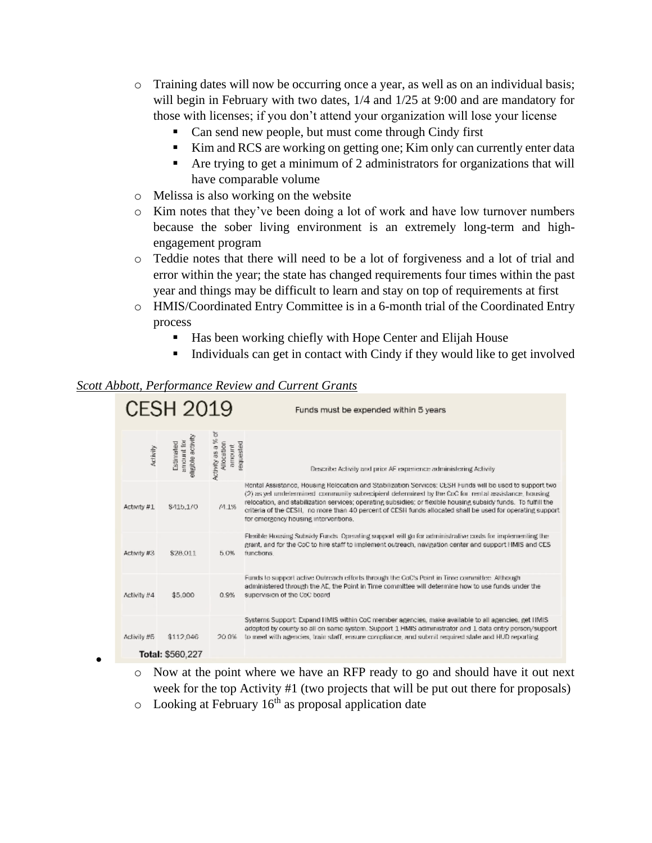- o Training dates will now be occurring once a year, as well as on an individual basis; will begin in February with two dates,  $1/4$  and  $1/25$  at 9:00 and are mandatory for those with licenses; if you don't attend your organization will lose your license
	- Can send new people, but must come through Cindy first
	- Kim and RCS are working on getting one; Kim only can currently enter data
	- Are trying to get a minimum of 2 administrators for organizations that will have comparable volume
- o Melissa is also working on the website
- o Kim notes that they've been doing a lot of work and have low turnover numbers because the sober living environment is an extremely long-term and highengagement program
- o Teddie notes that there will need to be a lot of forgiveness and a lot of trial and error within the year; the state has changed requirements four times within the past year and things may be difficult to learn and stay on top of requirements at first
- o HMIS/Coordinated Entry Committee is in a 6-month trial of the Coordinated Entry process
	- Has been working chiefly with Hope Center and Elijah House
	- Individuals can get in contact with Cindy if they would like to get involved

#### *Scott Abbott, Performance Review and Current Grants*

•

|             | <b>CESH 2019</b>                              |                                           | Funds must be expended within 5 years                                                                                                                                                                                                                                                                                                                                                                                                                                                   |
|-------------|-----------------------------------------------|-------------------------------------------|-----------------------------------------------------------------------------------------------------------------------------------------------------------------------------------------------------------------------------------------------------------------------------------------------------------------------------------------------------------------------------------------------------------------------------------------------------------------------------------------|
| Activity    | sligible activity<br>arrount for<br>Estimated | Activity as a % of<br>requested<br>amount | Describe Activity and prior AF experience administering Activity                                                                                                                                                                                                                                                                                                                                                                                                                        |
| Activity #1 | \$415,170                                     | $/4.1\%$                                  | Rental Assistance, Housing Relocation and Stabilization Services: CESH Funds will be used to support two<br>(2) as yet undetermined community subrecipient determined by the CoC for, rental assistance, housing<br>relocation, and stabilization services; operating subsidies; or flexible housing subsidy funds. To fulfill the<br>criteria of the CESH, no more than 40 percent of CESH funds allocated shall be used for operating support<br>for emergency housing interventions. |
| Activity #3 | 828 011                                       | 5.0%                                      | Elexible Housing Subsidy Funds. Operating support will go for administrative costs for implementing the<br>grant, and for the CoC to hire staff to implement outreach, navigation center and support HMIS and CES<br>functions.                                                                                                                                                                                                                                                         |
| Activity #4 | \$5,000                                       | 0.9%                                      | Funds to support active Outreach efforts through the CoC's Point in Time committee. Although<br>administered through the AE, the Point in Time committee will determine how to use funds under the<br>supervision of the CoC board                                                                                                                                                                                                                                                      |
| Activity #5 | \$112,046                                     | 20.0%                                     | Systems Support: Expand HMIS within CoC member agencies, make available to all agencies, get HMIS<br>adopted by county so all on same system. Support 1 HMIS administrator and 1 data entry person/support<br>to meet with agencies, train staff, ensure compliance, and submit required state and HUD reporting.                                                                                                                                                                       |
|             | Total: \$560.227                              |                                           |                                                                                                                                                                                                                                                                                                                                                                                                                                                                                         |

- o Now at the point where we have an RFP ready to go and should have it out next week for the top Activity #1 (two projects that will be put out there for proposals)
- $\circ$  Looking at February 16<sup>th</sup> as proposal application date